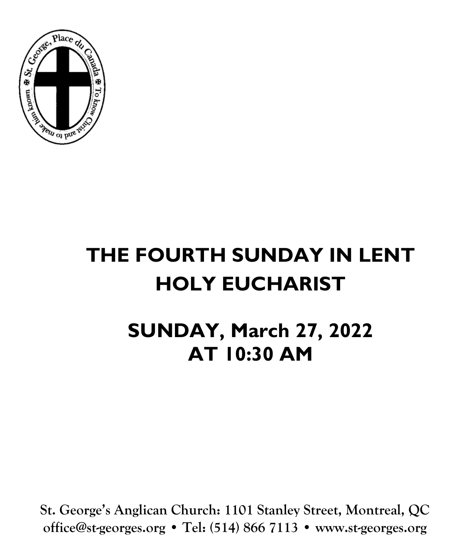

# **THE FOURTH SUNDAY IN LENT HOLY EUCHARIST**

# **SUNDAY, March 27, 2022 AT 10:30 AM**

**St. George's Anglican Church: 1101 Stanley Street, Montreal, QC office@st-georges.org • Tel: (514) 866 7113 • www.st-georges.org**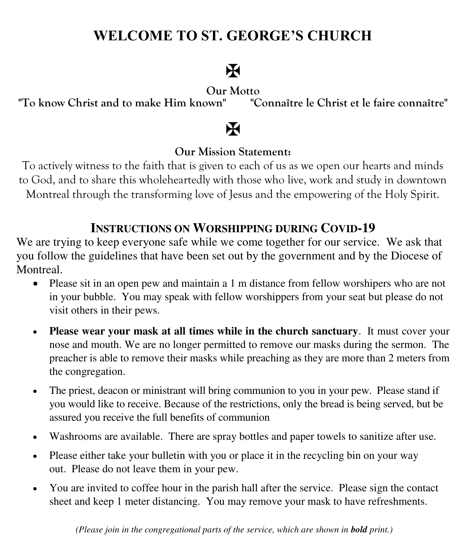### **WELCOME TO ST. GEORGE'S CHURCH**

## $\mathbf F$

"To know Christ and to make Him known"

Our Motto<br><sup>2</sup> war "Connaître le Christ et le faire connaître"

### $\mathbf H$

### **Our Mission Statement:**

To actively witness to the faith that is given to each of us as we open our hearts and minds to God, and to share this wholeheartedly with those who live, work and study in downtown Montreal through the transforming love of Jesus and the empowering of the Holy Spirit.

### **INSTRUCTIONS ON WORSHIPPING DURING COVID-19**

We are trying to keep everyone safe while we come together for our service. We ask that you follow the guidelines that have been set out by the government and by the Diocese of Montreal.

- Please sit in an open pew and maintain a 1 m distance from fellow worshipers who are not in your bubble. You may speak with fellow worshippers from your seat but please do not visit others in their pews.
- **Please wear your mask at all times while in the church sanctuary**. It must cover your nose and mouth. We are no longer permitted to remove our masks during the sermon. The preacher is able to remove their masks while preaching as they are more than 2 meters from the congregation.
- The priest, deacon or ministrant will bring communion to you in your pew. Please stand if you would like to receive. Because of the restrictions, only the bread is being served, but be assured you receive the full benefits of communion
- Washrooms are available. There are spray bottles and paper towels to sanitize after use.
- Please either take your bulletin with you or place it in the recycling bin on your way out. Please do not leave them in your pew.
- You are invited to coffee hour in the parish hall after the service. Please sign the contact sheet and keep 1 meter distancing. You may remove your mask to have refreshments.

 *(Please join in the congregational parts of the service, which are shown in bold print.)*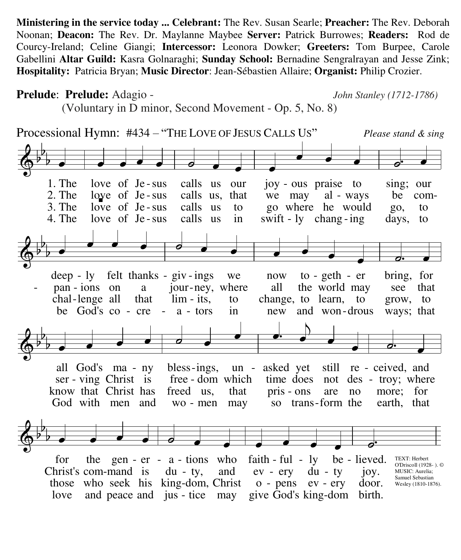**Ministering in the service today ... Celebrant:** The Rev. Susan Searle; **Preacher:** The Rev. Deborah Noonan; **Deacon:** The Rev. Dr. Maylanne Maybee **Server:** Patrick Burrowes; **Readers:** Rod de Courcy-Ireland; Celine Giangi; **Intercessor:** Leonora Dowker; **Greeters:** Tom Burpee, Carole Gabellini **Altar Guild:** Kasra Golnaraghi; **Sunday School:** Bernadine Sengralrayan and Jesse Zink; **Hospitality:** Patricia Bryan; **Music Director**: Jean-Sébastien Allaire; **Organist:** Philip Crozier.

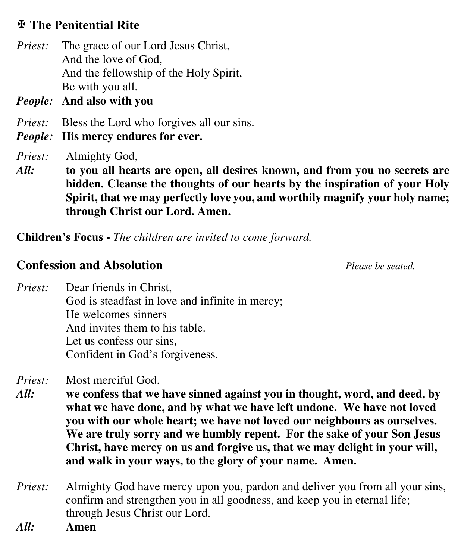### **The Penitential Rite**

*Priest:* The grace of our Lord Jesus Christ, And the love of God, And the fellowship of the Holy Spirit, Be with you all.

*People:* **And also with you** 

- *Priest:* Bless the Lord who forgives all our sins.
- *People:* **His mercy endures for ever.**

*Priest:* Almighty God,

*All:* **to you all hearts are open, all desires known, and from you no secrets are hidden. Cleanse the thoughts of our hearts by the inspiration of your Holy Spirit, that we may perfectly love you, and worthily magnify your holy name; through Christ our Lord. Amen.** 

**Children's Focus -** *The children are invited to come forward.* 

### **Confession and Absolution** *Please be seated.*

*Priest:* Dear friends in Christ, God is steadfast in love and infinite in mercy; He welcomes sinners And invites them to his table. Let us confess our sins, Confident in God's forgiveness.

*Priest:* Most merciful God,

- *All:* **we confess that we have sinned against you in thought, word, and deed, by what we have done, and by what we have left undone. We have not loved you with our whole heart; we have not loved our neighbours as ourselves. We are truly sorry and we humbly repent. For the sake of your Son Jesus Christ, have mercy on us and forgive us, that we may delight in your will, and walk in your ways, to the glory of your name. Amen.**
- *Priest:* Almighty God have mercy upon you, pardon and deliver you from all your sins, confirm and strengthen you in all goodness, and keep you in eternal life; through Jesus Christ our Lord.
- *All:* **Amen**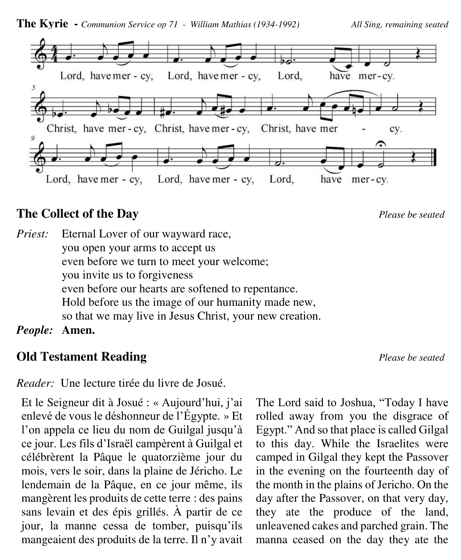

### **The Collect of the Day** *Please be seated*

*Priest:* Eternal Lover of our wayward race, you open your arms to accept us even before we turn to meet your welcome; you invite us to forgiveness even before our hearts are softened to repentance. Hold before us the image of our humanity made new, so that we may live in Jesus Christ, your new creation.

*People:* **Amen.**

### **Old Testament Reading** *Please be seated*

*Reader:* Une lecture tirée du livre de Josué.

Et le Seigneur dit à Josué : « Aujourd'hui, j'ai enlevé de vous le déshonneur de l'Égypte. » Et l'on appela ce lieu du nom de Guilgal jusqu'à ce jour. Les fils d'Israël campèrent à Guilgal et célébrèrent la Pâque le quatorzième jour du mois, vers le soir, dans la plaine de Jéricho. Le lendemain de la Pâque, en ce jour même, ils mangèrent les produits de cette terre : des pains sans levain et des épis grillés. À partir de ce jour, la manne cessa de tomber, puisqu'ils mangeaient des produits de la terre. Il n'y avait The Lord said to Joshua, "Today I have rolled away from you the disgrace of Egypt." And so that place is called Gilgal to this day. While the Israelites were camped in Gilgal they kept the Passover in the evening on the fourteenth day of the month in the plains of Jericho. On the day after the Passover, on that very day, they ate the produce of the land, unleavened cakes and parched grain. The manna ceased on the day they ate the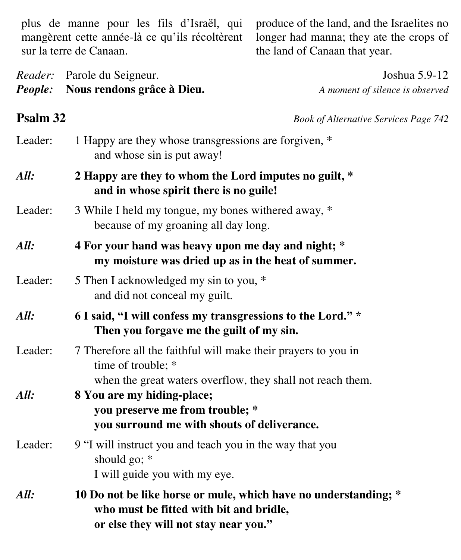plus de manne pour les fils d'Israël, qui mangèrent cette année-là ce qu'ils récoltèrent sur la terre de Canaan.

produce of the land, and the Israelites no longer had manna; they ate the crops of the land of Canaan that year.

*Reader:* Parole du Seigneur. Joshua 5.9-12 *People:* **Nous rendons grâce à Dieu.** *A moment of silence is observed*

**Psalm 32** *Book of Alternative Services Page 742* 

| Leader: | 1 Happy are they whose transgressions are forgiven, *<br>and whose sin is put away!                                                                |  |  |
|---------|----------------------------------------------------------------------------------------------------------------------------------------------------|--|--|
| All:    | 2 Happy are they to whom the Lord imputes no guilt, *<br>and in whose spirit there is no guile!                                                    |  |  |
| Leader: | 3 While I held my tongue, my bones withered away, *<br>because of my groaning all day long.                                                        |  |  |
| All:    | 4 For your hand was heavy upon me day and night; *<br>my moisture was dried up as in the heat of summer.                                           |  |  |
| Leader: | 5 Then I acknowledged my sin to you, *<br>and did not conceal my guilt.                                                                            |  |  |
| All:    | 6 I said, "I will confess my transgressions to the Lord." *<br>Then you forgave me the guilt of my sin.                                            |  |  |
| Leader: | 7 Therefore all the faithful will make their prayers to you in<br>time of trouble; *<br>when the great waters overflow, they shall not reach them. |  |  |
| All:    | 8 You are my hiding-place;<br>you preserve me from trouble; *<br>you surround me with shouts of deliverance.                                       |  |  |
| Leader: | 9 "I will instruct you and teach you in the way that you<br>should go; $*$<br>I will guide you with my eye.                                        |  |  |
| All:    | 10 Do not be like horse or mule, which have no understanding; *<br>who must be fitted with bit and bridle,                                         |  |  |

 **or else they will not stay near you."**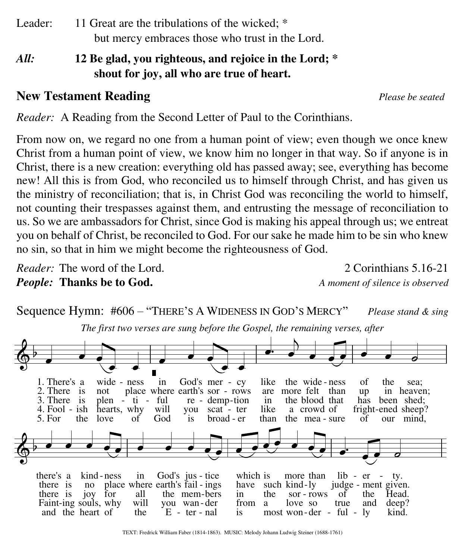Leader: 11 Great are the tribulations of the wicked; \* but mercy embraces those who trust in the Lord.

*All:* **12 Be glad, you righteous, and rejoice in the Lord; \* shout for joy, all who are true of heart.**

### **New Testament Reading** *Please be seated*

*Reader:* A Reading from the Second Letter of Paul to the Corinthians.

From now on, we regard no one from a human point of view; even though we once knew Christ from a human point of view, we know him no longer in that way. So if anyone is in Christ, there is a new creation: everything old has passed away; see, everything has become new! All this is from God, who reconciled us to himself through Christ, and has given us the ministry of reconciliation; that is, in Christ God was reconciling the world to himself, not counting their trespasses against them, and entrusting the message of reconciliation to us. So we are ambassadors for Christ, since God is making his appeal through us; we entreat you on behalf of Christ, be reconciled to God. For our sake he made him to be sin who knew no sin, so that in him we might become the righteousness of God.

*Reader:* The word of the Lord. 2 Corinthians 5.16-21 *People:* **Thanks be to God.** *A moment of silence is observed*



TEXT: Fredrick William Faber (1814-1863). MUSIC: Melody Johann Ludwig Steiner (1688-1761)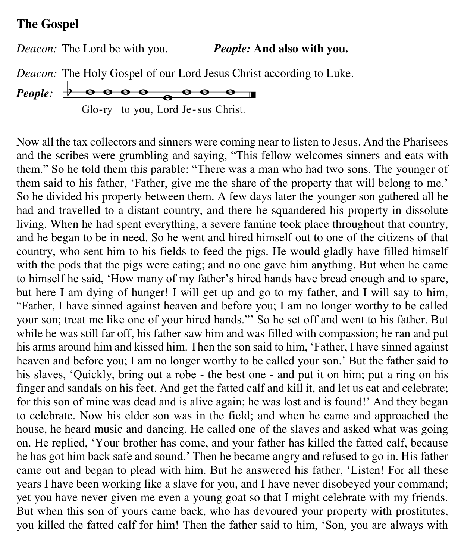### **The Gospel**

*Deacon:* The Lord be with you. *People:* **And also with you.**

*Deacon:* The Holy Gospel of our Lord Jesus Christ according to Luke.

People: 
$$
\frac{\theta}{\theta} \cdot \theta \cdot \theta \cdot \theta \cdot \theta \cdot \theta
$$

Glo-ry to you, Lord Je-sus Christ.

Now all the tax collectors and sinners were coming near to listen to Jesus. And the Pharisees and the scribes were grumbling and saying, "This fellow welcomes sinners and eats with them." So he told them this parable: "There was a man who had two sons. The younger of them said to his father, 'Father, give me the share of the property that will belong to me.' So he divided his property between them. A few days later the younger son gathered all he had and travelled to a distant country, and there he squandered his property in dissolute living. When he had spent everything, a severe famine took place throughout that country, and he began to be in need. So he went and hired himself out to one of the citizens of that country, who sent him to his fields to feed the pigs. He would gladly have filled himself with the pods that the pigs were eating; and no one gave him anything. But when he came to himself he said, 'How many of my father's hired hands have bread enough and to spare, but here I am dying of hunger! I will get up and go to my father, and I will say to him, "Father, I have sinned against heaven and before you; I am no longer worthy to be called your son; treat me like one of your hired hands."' So he set off and went to his father. But while he was still far off, his father saw him and was filled with compassion; he ran and put his arms around him and kissed him. Then the son said to him, 'Father, I have sinned against heaven and before you; I am no longer worthy to be called your son.' But the father said to his slaves, 'Quickly, bring out a robe - the best one - and put it on him; put a ring on his finger and sandals on his feet. And get the fatted calf and kill it, and let us eat and celebrate; for this son of mine was dead and is alive again; he was lost and is found!' And they began to celebrate. Now his elder son was in the field; and when he came and approached the house, he heard music and dancing. He called one of the slaves and asked what was going on. He replied, 'Your brother has come, and your father has killed the fatted calf, because he has got him back safe and sound.' Then he became angry and refused to go in. His father came out and began to plead with him. But he answered his father, 'Listen! For all these years I have been working like a slave for you, and I have never disobeyed your command; yet you have never given me even a young goat so that I might celebrate with my friends. But when this son of yours came back, who has devoured your property with prostitutes, you killed the fatted calf for him! Then the father said to him, 'Son, you are always with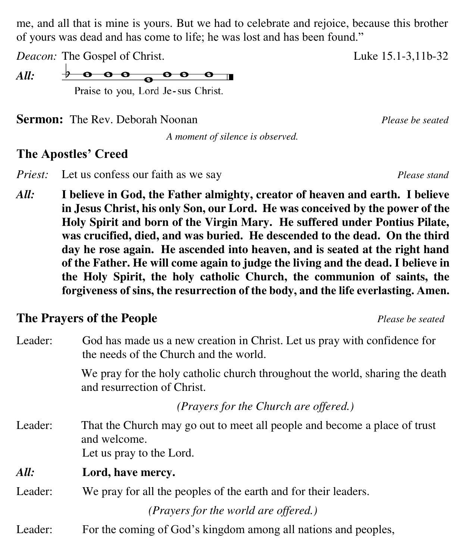me, and all that is mine is yours. But we had to celebrate and rejoice, because this brother of yours was dead and has come to life; he was lost and has been found."

*Deacon:* The Gospel of Christ. Luke 15.1-3,11b-32

 $\theta$   $\theta$   $\theta$   $\theta$   $\theta$   $\theta$   $\theta$   $\theta$ *All:*  Praise to you, Lord Je-sus Christ.

**Sermon:** The Rev. Deborah Noonan *Please be seated Please be seated* 

*A moment of silence is observed.* 

### **The Apostles' Creed**

*Priest:* Let us confess our faith as we say *Please stand* 

*All:* **I believe in God, the Father almighty, creator of heaven and earth. I believe in Jesus Christ, his only Son, our Lord. He was conceived by the power of the Holy Spirit and born of the Virgin Mary. He suffered under Pontius Pilate, was crucified, died, and was buried. He descended to the dead. On the third day he rose again. He ascended into heaven, and is seated at the right hand of the Father. He will come again to judge the living and the dead. I believe in the Holy Spirit, the holy catholic Church, the communion of saints, the forgiveness of sins, the resurrection of the body, and the life everlasting. Amen.** 

### **The Prayers of the People** *Please be seated*

| Leader: | God has made us a new creation in Christ. Let us pray with confidence for<br>the needs of the Church and the world.   |  |
|---------|-----------------------------------------------------------------------------------------------------------------------|--|
|         | We pray for the holy catholic church throughout the world, sharing the death<br>and resurrection of Christ.           |  |
|         | (Prayers for the Church are offered.)                                                                                 |  |
| Leader: | That the Church may go out to meet all people and become a place of trust<br>and welcome.<br>Let us pray to the Lord. |  |
| All:    | Lord, have mercy.                                                                                                     |  |
| Leader: | We pray for all the peoples of the earth and for their leaders.                                                       |  |
|         | (Prayers for the world are offered.)                                                                                  |  |
| Leader: | For the coming of God's kingdom among all nations and peoples,                                                        |  |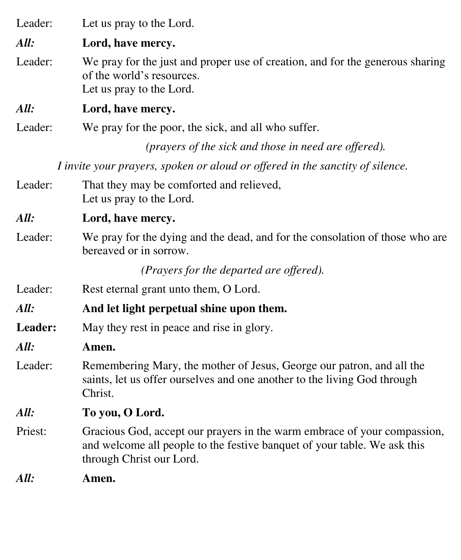Leader: Let us pray to the Lord.

*All:* **Lord, have mercy.** 

Leader: We pray for the just and proper use of creation, and for the generous sharing of the world's resources. Let us pray to the Lord.

*All:* **Lord, have mercy.** 

Leader: We pray for the poor, the sick, and all who suffer.

*(prayers of the sick and those in need are offered).* 

*I invite your prayers, spoken or aloud or offered in the sanctity of silence.*

- Leader: That they may be comforted and relieved, Let us pray to the Lord.
- *All:* **Lord, have mercy.**
- Leader: We pray for the dying and the dead, and for the consolation of those who are bereaved or in sorrow.

*(Prayers for the departed are offered).* 

- Leader: Rest eternal grant unto them, O Lord.
- *All:* **And let light perpetual shine upon them.**
- Leader: May they rest in peace and rise in glory.
- *All:* **Amen.**
- Leader: Remembering Mary, the mother of Jesus, George our patron, and all the saints, let us offer ourselves and one another to the living God through Christ.
- *All:* **To you, O Lord.**
- Priest: Gracious God, accept our prayers in the warm embrace of your compassion, and welcome all people to the festive banquet of your table. We ask this through Christ our Lord.

*All:* **Amen.**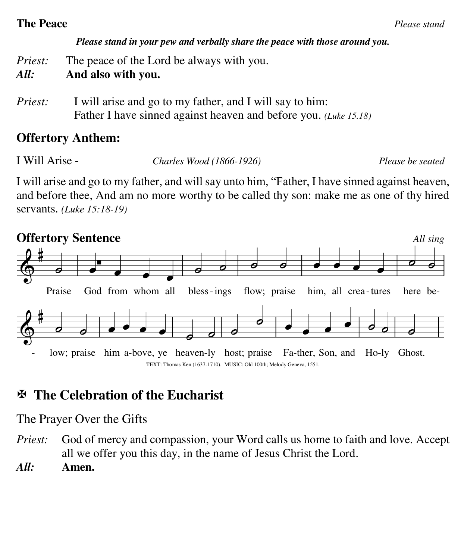### **The Peace** *Please stand*

### *Please stand in your pew and verbally share the peace with those around you.*

*Priest:* The peace of the Lord be always with you.

- *All:* **And also with you.**
- *Priest:* I will arise and go to my father, and I will say to him: Father I have sinned against heaven and before you. *(Luke 15.18)*

### **Offertory Anthem:**

I Will Arise - *Charles Wood (1866-1926) Please be seated*

I will arise and go to my father, and will say unto him, "Father, I have sinned against heaven, and before thee, And am no more worthy to be called thy son: make me as one of thy hired servants. *(Luke 15:18-19)* 



### **The Celebration of the Eucharist**

The Prayer Over the Gifts

- *Priest:* God of mercy and compassion, your Word calls us home to faith and love. Accept all we offer you this day, in the name of Jesus Christ the Lord.
- *All:* **Amen.**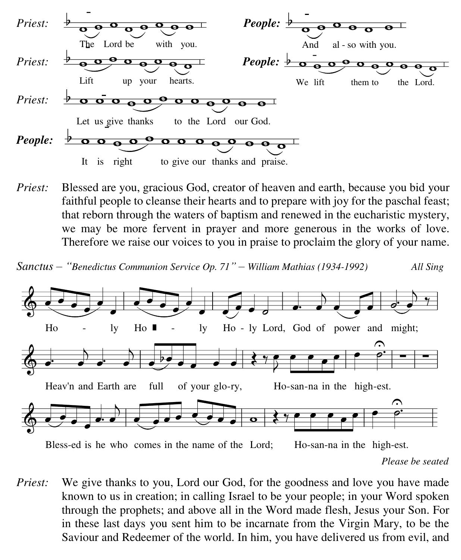

*Priest:* Blessed are you, gracious God, creator of heaven and earth, because you bid your faithful people to cleanse their hearts and to prepare with joy for the paschal feast; that reborn through the waters of baptism and renewed in the eucharistic mystery, we may be more fervent in prayer and more generous in the works of love. Therefore we raise our voices to you in praise to proclaim the glory of your name.

*Sanctus – "Benedictus Communion Service Op. 71" – William Mathias (1934-1992) All Sing* 



*Please be seated*

*Priest:* We give thanks to you, Lord our God, for the goodness and love you have made known to us in creation; in calling Israel to be your people; in your Word spoken through the prophets; and above all in the Word made flesh, Jesus your Son. For in these last days you sent him to be incarnate from the Virgin Mary, to be the Saviour and Redeemer of the world. In him, you have delivered us from evil, and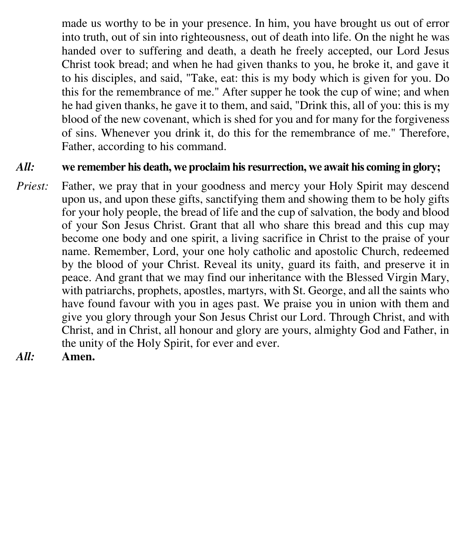made us worthy to be in your presence. In him, you have brought us out of error into truth, out of sin into righteousness, out of death into life. On the night he was handed over to suffering and death, a death he freely accepted, our Lord Jesus Christ took bread; and when he had given thanks to you, he broke it, and gave it to his disciples, and said, "Take, eat: this is my body which is given for you. Do this for the remembrance of me." After supper he took the cup of wine; and when he had given thanks, he gave it to them, and said, "Drink this, all of you: this is my blood of the new covenant, which is shed for you and for many for the forgiveness of sins. Whenever you drink it, do this for the remembrance of me." Therefore, Father, according to his command.

### *All:* **we remember his death, we proclaim his resurrection, we await his coming in glory;**

- *Priest:* Father, we pray that in your goodness and mercy your Holy Spirit may descend upon us, and upon these gifts, sanctifying them and showing them to be holy gifts for your holy people, the bread of life and the cup of salvation, the body and blood of your Son Jesus Christ. Grant that all who share this bread and this cup may become one body and one spirit, a living sacrifice in Christ to the praise of your name. Remember, Lord, your one holy catholic and apostolic Church, redeemed by the blood of your Christ. Reveal its unity, guard its faith, and preserve it in peace. And grant that we may find our inheritance with the Blessed Virgin Mary, with patriarchs, prophets, apostles, martyrs, with St. George, and all the saints who have found favour with you in ages past. We praise you in union with them and give you glory through your Son Jesus Christ our Lord. Through Christ, and with Christ, and in Christ, all honour and glory are yours, almighty God and Father, in the unity of the Holy Spirit, for ever and ever.
- *All:* **Amen.**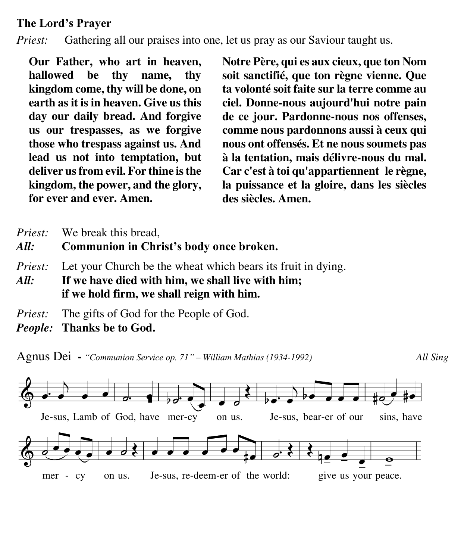### **The Lord's Prayer**

*Priest:* Gathering all our praises into one, let us pray as our Saviour taught us.

**Our Father, who art in heaven, hallowed be thy name, thy kingdom come, thy will be done, on earth as it is in heaven. Give us this day our daily bread. And forgive us our trespasses, as we forgive those who trespass against us. And lead us not into temptation, but deliver us from evil. For thine is the kingdom, the power, and the glory, for ever and ever. Amen.**

**Notre Père, qui es aux cieux, que ton Nom soit sanctifié, que ton règne vienne. Que ta volonté soit faite sur la terre comme au ciel. Donne-nous aujourd'hui notre pain de ce jour. Pardonne-nous nos offenses, comme nous pardonnons aussi à ceux qui nous ont offensés. Et ne nous soumets pas à la tentation, mais délivre-nous du mal. Car c'est à toi qu'appartiennent le règne, la puissance et la gloire, dans les siècles des siècles. Amen.** 

- *Priest:* We break this bread,
- *All:* **Communion in Christ's body once broken.**
- *Priest:* Let your Church be the wheat which bears its fruit in dying.
- *All:* **If we have died with him, we shall live with him; if we hold firm, we shall reign with him.**
- *Priest:* The gifts of God for the People of God.
- *People:* **Thanks be to God.**

Agnus Dei **-** *"Communion Service op. 71" – William Mathias (1934-1992) All Sing*



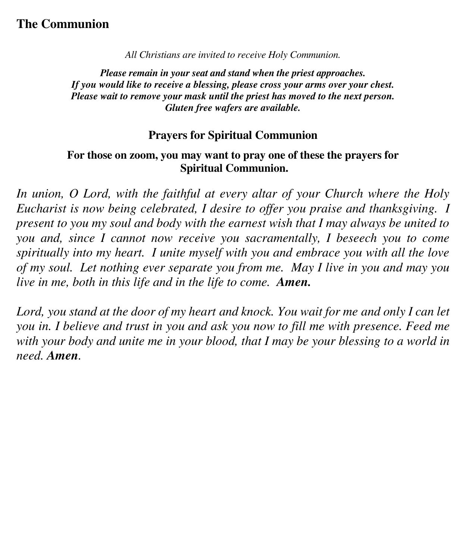### **The Communion**

*All Christians are invited to receive Holy Communion.* 

*Please remain in your seat and stand when the priest approaches. If you would like to receive a blessing, please cross your arms over your chest. Please wait to remove your mask until the priest has moved to the next person. Gluten free wafers are available.*

#### **Prayers for Spiritual Communion**

### **For those on zoom, you may want to pray one of these the prayers for Spiritual Communion.**

*In union, O Lord, with the faithful at every altar of your Church where the Holy Eucharist is now being celebrated, I desire to offer you praise and thanksgiving. I present to you my soul and body with the earnest wish that I may always be united to you and, since I cannot now receive you sacramentally, I beseech you to come spiritually into my heart. I unite myself with you and embrace you with all the love of my soul. Let nothing ever separate you from me. May I live in you and may you live in me, both in this life and in the life to come. Amen.* 

Lord, you stand at the door of my heart and knock. You wait for me and only I can let *you in. I believe and trust in you and ask you now to fill me with presence. Feed me with your body and unite me in your blood, that I may be your blessing to a world in need. Amen.*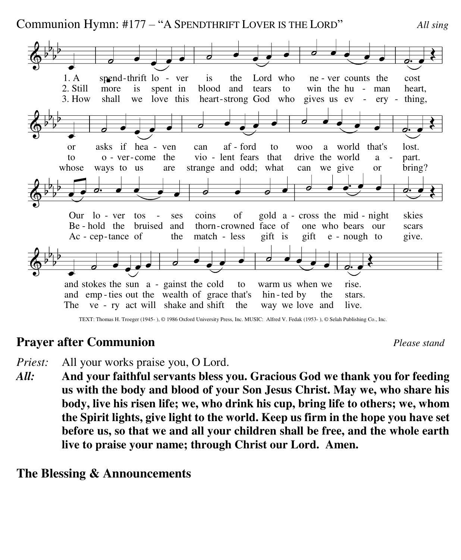Communion Hymn: #177 – "A SPENDTHRIFT LOVER IS THE LORD" *All sing* 



The ve - ry act will shake and shift the way we love and live. and emp-ties out the wealth of grace that's hin-ted- by the stars.

### **Prayer after Communion** *Please stand*

b

 $\frac{1}{2}$ 

- *Priest:* All your works praise you, O Lord.
- *All:* **And your faithful servants bless you. Gracious God we thank you for feeding us with the body and blood of your Son Jesus Christ. May we, who share his body, live his risen life; we, who drink his cup, bring life to others; we, whom the Spirit lights, give light to the world. Keep us firm in the hope you have set before us, so that we and all your children shall be free, and the whole earth live to praise your name; through Christ our Lord. Amen.**

### **The Blessing & Announcements**

TEXT: Thomas H. Troeger (1945- ), © 1986 Oxford University Press, Inc. MUSIC: Alfred V. Fedak (1953- ), © Selah Publishing Co., Inc.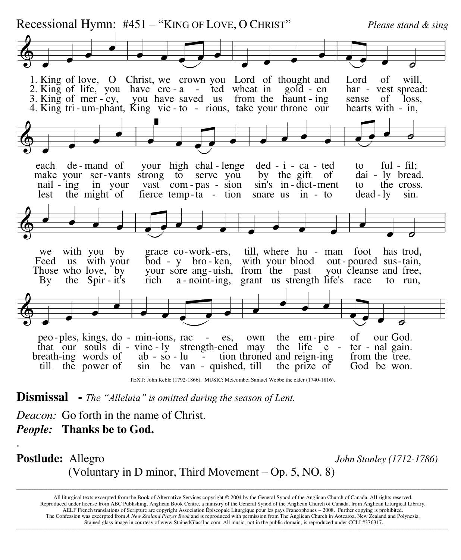

TEXT: John Keble (1792-1866). MUSIC: Melcombe; Samuel Webbe the elder (1740-1816).

**Dismissal -** *The "Alleluia" is omitted during the season of Lent.*

*Deacon:* Go forth in the name of Christ. *People:* **Thanks be to God.** 

.

### **Postlude:** Allegro *John Stanley (1712-1786)*  (Voluntary in D minor, Third Movement – Op. 5, NO. 8)

All liturgical texts excerpted from the Book of Alternative Services copyright © 2004 by the General Synod of the Anglican Church of Canada. All rights reserved. Reproduced under license from ABC Publishing, Anglican Book Centre, a ministry of the General Synod of the Anglican Church of Canada, from Anglican Liturgical Library. AELF French translations of Scripture are copyright Association Épiscopale Liturgique pour les pays Francophones – 2008. Further copying is prohibited. The Confession was excerpted from *A New Zealand Prayer Book* and is reproduced with permission from The Anglican Church in Aotearoa, New Zealand and Polynesia. Stained glass image in courtesy of www.StainedGlassInc.com. All music, not in the public domain, is reproduced under CCLI #376317.

**\_\_\_\_\_\_\_\_\_\_\_\_\_\_\_\_\_\_\_\_\_\_\_\_\_\_\_\_\_\_\_\_\_\_\_\_\_\_\_\_\_\_\_\_\_\_\_\_\_\_\_\_\_\_\_\_\_\_\_\_\_\_\_\_\_\_\_\_\_\_\_\_\_\_\_\_\_\_\_\_\_\_\_\_\_\_\_\_\_\_\_\_\_\_\_\_\_\_\_\_\_\_\_\_\_\_\_\_\_\_\_\_\_\_\_\_\_\_\_\_\_\_\_\_\_\_\_\_\_\_\_\_\_\_\_\_\_\_\_\_\_\_\_\_\_\_\_\_\_\_\_\_\_\_\_\_\_\_\_\_\_\_\_\_\_\_\_\_\_\_\_\_\_\_\_\_\_\_\_\_\_\_\_\_\_\_\_\_\_\_\_\_\_\_\_\_\_\_\_\_\_\_\_\_\_\_\_\_\_\_\_\_\_\_\_\_\_\_\_\_\_\_\_\_\_\_\_\_\_\_\_\_\_\_\_\_**

**\_\_\_\_\_\_\_\_\_\_\_\_\_\_\_\_\_\_\_\_\_\_\_\_\_\_\_\_\_\_\_\_\_\_\_\_\_\_\_\_\_\_\_\_\_\_\_\_\_\_\_\_\_\_\_\_\_\_\_\_\_\_\_\_\_\_\_\_\_\_\_\_\_\_\_\_\_\_\_\_\_\_\_\_\_\_\_\_\_\_\_\_\_\_\_\_\_\_\_\_\_\_\_\_\_\_\_\_\_\_\_\_\_\_\_\_\_\_\_\_\_\_\_\_\_\_\_\_\_\_\_\_\_\_\_\_\_\_\_\_\_\_\_\_\_\_\_\_\_\_\_\_\_\_\_\_\_\_\_\_\_\_\_\_\_\_\_\_\_\_\_\_\_\_\_\_\_\_\_\_\_\_\_\_\_\_\_\_\_\_\_\_\_\_\_\_\_\_\_\_\_\_\_\_\_\_\_\_\_\_\_\_\_\_\_\_\_\_\_\_\_\_\_\_\_\_\_\_\_\_\_\_\_\_\_\_**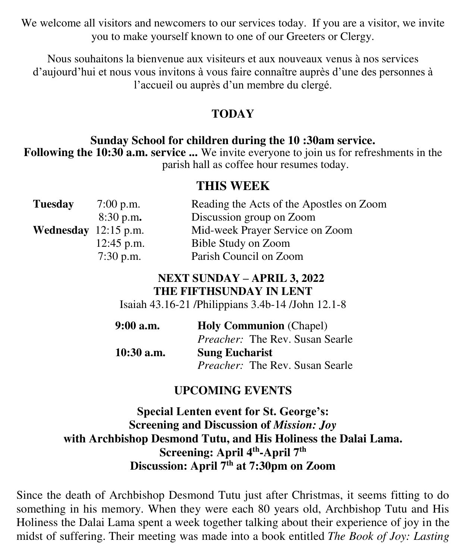We welcome all visitors and newcomers to our services today. If you are a visitor, we invite you to make yourself known to one of our Greeters or Clergy.

Nous souhaitons la bienvenue aux visiteurs et aux nouveaux venus à nos services d'aujourd'hui et nous vous invitons à vous faire connaître auprès d'une des personnes à l'accueil ou auprès d'un membre du clergé.

### **TODAY**

#### **Sunday School for children during the 10 :30am service.**

**Following the 10:30 a.m. service ...** We invite everyone to join us for refreshments in the parish hall as coffee hour resumes today.

### **THIS WEEK**

| $7:00$ p.m.  | Reading the Acts of the Apostles on Zoom |
|--------------|------------------------------------------|
| 8:30 p.m.    | Discussion group on Zoom                 |
|              | Mid-week Prayer Service on Zoom          |
| $12:45$ p.m. | Bible Study on Zoom                      |
| $7:30$ p.m.  | Parish Council on Zoom                   |
|              | <b>Wednesday</b> $12:15$ p.m.            |

### **NEXT SUNDAY – APRIL 3, 2022 THE FIFTHSUNDAY IN LENT**

Isaiah 43.16-21 /Philippians 3.4b-14 /John 12.1-8

| $9:00$ a.m.  | <b>Holy Communion</b> (Chapel)         |
|--------------|----------------------------------------|
|              | <i>Preacher:</i> The Rev. Susan Searle |
| $10:30$ a.m. | <b>Sung Eucharist</b>                  |
|              | <i>Preacher:</i> The Rev. Susan Searle |

### **UPCOMING EVENTS**

**Special Lenten event for St. George's: Screening and Discussion of** *Mission: Joy* **with Archbishop Desmond Tutu, and His Holiness the Dalai Lama. Screening: April 4th -April 7th Discussion: April 7th at 7:30pm on Zoom**

Since the death of Archbishop Desmond Tutu just after Christmas, it seems fitting to do something in his memory. When they were each 80 years old, Archbishop Tutu and His Holiness the Dalai Lama spent a week together talking about their experience of joy in the midst of suffering. Their meeting was made into a book entitled *The Book of Joy: Lasting*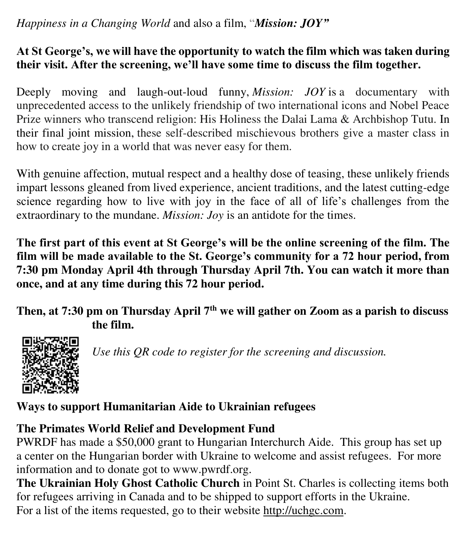### *Happiness in a Changing World* and also a film, "*Mission: JOY"*

### **At St George's, we will have the opportunity to watch the film which was taken during their visit. After the screening, we'll have some time to discuss the film together.**

Deeply moving and laugh-out-loud funny, *Mission: JOY* is a documentary with unprecedented access to the unlikely friendship of two international icons and Nobel Peace Prize winners who transcend religion: His Holiness the Dalai Lama & Archbishop Tutu. In their final joint mission, these self-described mischievous brothers give a master class in how to create joy in a world that was never easy for them.

With genuine affection, mutual respect and a healthy dose of teasing, these unlikely friends impart lessons gleaned from lived experience, ancient traditions, and the latest cutting-edge science regarding how to live with joy in the face of all of life's challenges from the extraordinary to the mundane. *Mission: Joy* is an antidote for the times.

**The first part of this event at St George's will be the online screening of the film. The film will be made available to the St. George's community for a 72 hour period, from 7:30 pm Monday April 4th through Thursday April 7th. You can watch it more than once, and at any time during this 72 hour period.**

**Then, at 7:30 pm on Thursday April 7th we will gather on Zoom as a parish to discuss the film.**



*Use this QR code to register for the screening and discussion.* 

**Ways to support Humanitarian Aide to Ukrainian refugees** 

### **The Primates World Relief and Development Fund**

PWRDF has made a \$50,000 grant to Hungarian Interchurch Aide. This group has set up a center on the Hungarian border with Ukraine to welcome and assist refugees. For more information and to donate got to www.pwrdf.org.

**The Ukrainian Holy Ghost Catholic Church** in Point St. Charles is collecting items both for refugees arriving in Canada and to be shipped to support efforts in the Ukraine. For a list of the items requested, go to their website [http://uchgc.com.](http://uchgc.com/)